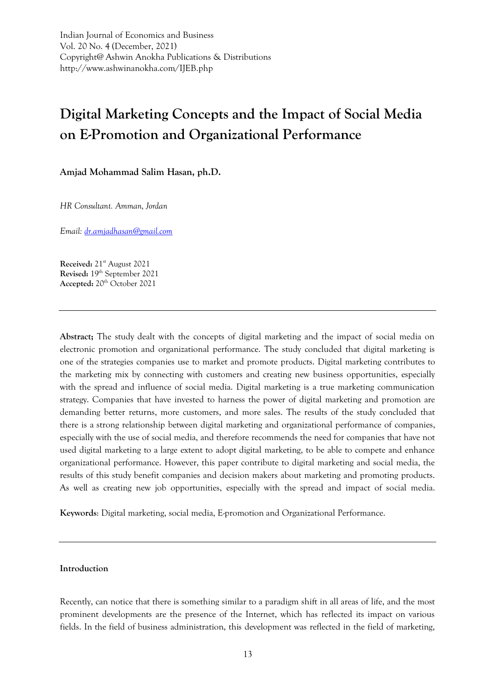Indian Journal of Economics and Business Vol. 20 No. 4 (December, 2021) Copyright@ Ashwin Anokha Publications & Distributions http://www.ashwinanokha.com/IJEB.php

# **Digital Marketing Concepts and the Impact of Social Media on E-Promotion and Organizational Performance**

**Amjad Mohammad Salim Hasan, ph.D.**

*HR Consultant. Amman, Jordan*

*Email: [dr.amjadhasan@gmail.com](mailto:dr.amjadhasan@gmail.com)*

Received: 21<sup>st</sup> August 2021 Revised: 19<sup>th</sup> September 2021 Accepted: 20<sup>th</sup> October 2021

**Abstract;** The study dealt with the concepts of digital marketing and the impact of social media on electronic promotion and organizational performance. The study concluded that digital marketing is one of the strategies companies use to market and promote products. Digital marketing contributes to the marketing mix by connecting with customers and creating new business opportunities, especially with the spread and influence of social media. Digital marketing is a true marketing communication strategy. Companies that have invested to harness the power of digital marketing and promotion are demanding better returns, more customers, and more sales. The results of the study concluded that there is a strong relationship between digital marketing and organizational performance of companies, especially with the use of social media, and therefore recommends the need for companies that have not used digital marketing to a large extent to adopt digital marketing, to be able to compete and enhance organizational performance. However, this paper contribute to digital marketing and social media, the results of this study benefit companies and decision makers about marketing and promoting products. As well as creating new job opportunities, especially with the spread and impact of social media.

**Keywords**: Digital marketing, social media, E-promotion and Organizational Performance.

## **Introduction**

Recently, can notice that there is something similar to a paradigm shift in all areas of life, and the most prominent developments are the presence of the Internet, which has reflected its impact on various fields. In the field of business administration, this development was reflected in the field of marketing,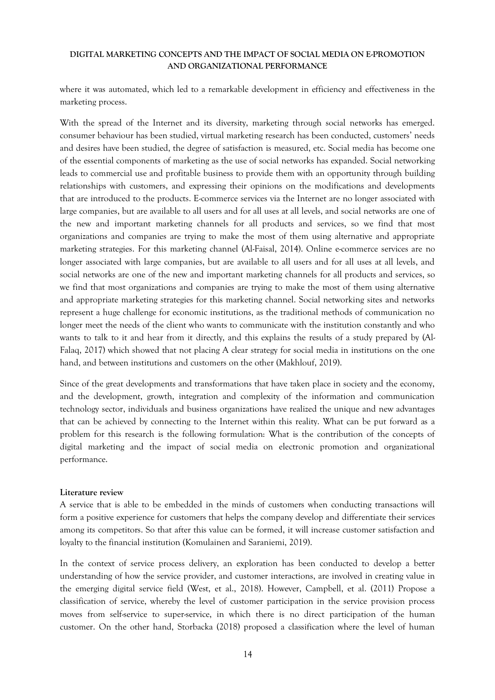where it was automated, which led to a remarkable development in efficiency and effectiveness in the marketing process.

With the spread of the Internet and its diversity, marketing through social networks has emerged. consumer behaviour has been studied, virtual marketing research has been conducted, customers' needs and desires have been studied, the degree of satisfaction is measured, etc. Social media has become one of the essential components of marketing as the use of social networks has expanded. Social networking leads to commercial use and profitable business to provide them with an opportunity through building relationships with customers, and expressing their opinions on the modifications and developments that are introduced to the products. E-commerce services via the Internet are no longer associated with large companies, but are available to all users and for all uses at all levels, and social networks are one of the new and important marketing channels for all products and services, so we find that most organizations and companies are trying to make the most of them using alternative and appropriate marketing strategies. For this marketing channel (Al-Faisal, 2014). Online e-commerce services are no longer associated with large companies, but are available to all users and for all uses at all levels, and social networks are one of the new and important marketing channels for all products and services, so we find that most organizations and companies are trying to make the most of them using alternative and appropriate marketing strategies for this marketing channel. Social networking sites and networks represent a huge challenge for economic institutions, as the traditional methods of communication no longer meet the needs of the client who wants to communicate with the institution constantly and who wants to talk to it and hear from it directly, and this explains the results of a study prepared by (Al-Falaq, 2017) which showed that not placing A clear strategy for social media in institutions on the one hand, and between institutions and customers on the other (Makhlouf, 2019).

Since of the great developments and transformations that have taken place in society and the economy, and the development, growth, integration and complexity of the information and communication technology sector, individuals and business organizations have realized the unique and new advantages that can be achieved by connecting to the Internet within this reality. What can be put forward as a problem for this research is the following formulation: What is the contribution of the concepts of digital marketing and the impact of social media on electronic promotion and organizational performance.

#### **Literature review**

A service that is able to be embedded in the minds of customers when conducting transactions will form a positive experience for customers that helps the company develop and differentiate their services among its competitors. So that after this value can be formed, it will increase customer satisfaction and loyalty to the financial institution (Komulainen and Saraniemi, 2019).

In the context of service process delivery, an exploration has been conducted to develop a better understanding of how the service provider, and customer interactions, are involved in creating value in the emerging digital service field (West, et al., 2018). However, Campbell, et al. (2011) Propose a classification of service, whereby the level of customer participation in the service provision process moves from self-service to super-service, in which there is no direct participation of the human customer. On the other hand, Storbacka (2018) proposed a classification where the level of human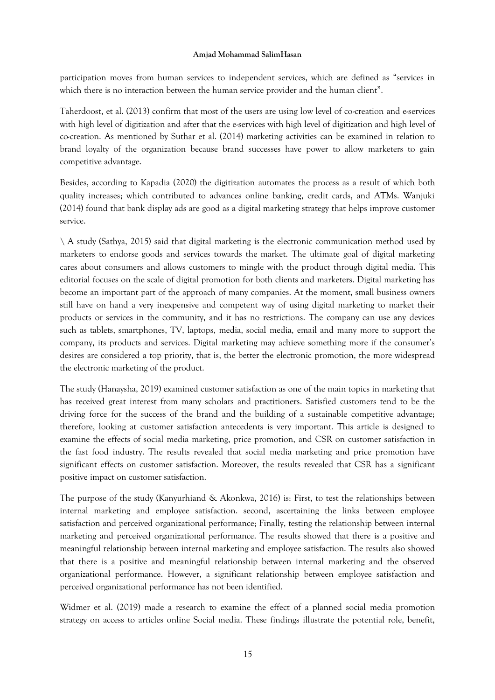participation moves from human services to independent services, which are defined as "services in which there is no interaction between the human service provider and the human client".

Taherdoost, et al. (2013) confirm that most of the users are using low level of co-creation and e-services with high level of digitization and after that the e-services with high level of digitization and high level of co-creation. As mentioned by Suthar et al. (2014) marketing activities can be examined in relation to brand loyalty of the organization because brand successes have power to allow marketers to gain competitive advantage.

Besides, according to Kapadia (2020) the digitization automates the process as a result of which both quality increases; which contributed to advances online banking, credit cards, and ATMs. Wanjuki (2014) found that bank display ads are good as a digital marketing strategy that helps improve customer service.

\ A study (Sathya, 2015) said that digital marketing is the electronic communication method used by marketers to endorse goods and services towards the market. The ultimate goal of digital marketing cares about consumers and allows customers to mingle with the product through digital media. This editorial focuses on the scale of digital promotion for both clients and marketers. Digital marketing has become an important part of the approach of many companies. At the moment, small business owners still have on hand a very inexpensive and competent way of using digital marketing to market their products or services in the community, and it has no restrictions. The company can use any devices such as tablets, smartphones, TV, laptops, media, social media, email and many more to support the company, its products and services. Digital marketing may achieve something more if the consumer's desires are considered a top priority, that is, the better the electronic promotion, the more widespread the electronic marketing of the product.

The study (Hanaysha, 2019) examined customer satisfaction as one of the main topics in marketing that has received great interest from many scholars and practitioners. Satisfied customers tend to be the driving force for the success of the brand and the building of a sustainable competitive advantage; therefore, looking at customer satisfaction antecedents is very important. This article is designed to examine the effects of social media marketing, price promotion, and CSR on customer satisfaction in the fast food industry. The results revealed that social media marketing and price promotion have significant effects on customer satisfaction. Moreover, the results revealed that CSR has a significant positive impact on customer satisfaction.

The purpose of the study (Kanyurhiand & Akonkwa, 2016) is: First, to test the relationships between internal marketing and employee satisfaction. second, ascertaining the links between employee satisfaction and perceived organizational performance; Finally, testing the relationship between internal marketing and perceived organizational performance. The results showed that there is a positive and meaningful relationship between internal marketing and employee satisfaction. The results also showed that there is a positive and meaningful relationship between internal marketing and the observed organizational performance. However, a significant relationship between employee satisfaction and perceived organizational performance has not been identified.

Widmer et al. (2019) made a research to examine the effect of a planned social media promotion strategy on access to articles online Social media. These findings illustrate the potential role, benefit,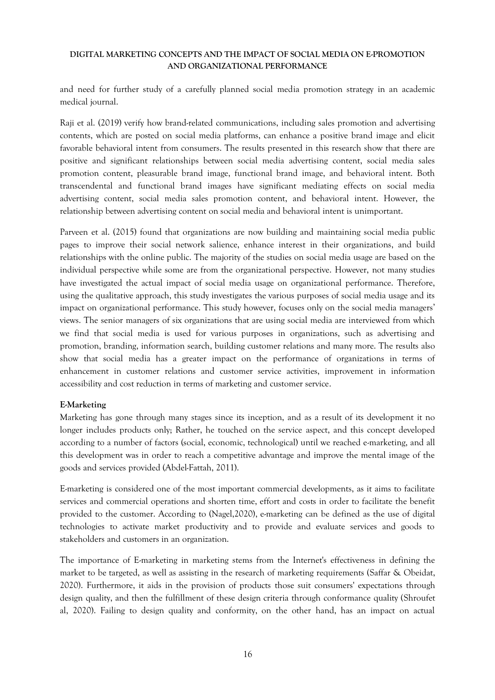and need for further study of a carefully planned social media promotion strategy in an academic medical journal.

Raji et al. (2019) verify how brand-related communications, including sales promotion and advertising contents, which are posted on social media platforms, can enhance a positive brand image and elicit favorable behavioral intent from consumers. The results presented in this research show that there are positive and significant relationships between social media advertising content, social media sales promotion content, pleasurable brand image, functional brand image, and behavioral intent. Both transcendental and functional brand images have significant mediating effects on social media advertising content, social media sales promotion content, and behavioral intent. However, the relationship between advertising content on social media and behavioral intent is unimportant.

Parveen et al. (2015) found that organizations are now building and maintaining social media public pages to improve their social network salience, enhance interest in their organizations, and build relationships with the online public. The majority of the studies on social media usage are based on the individual perspective while some are from the organizational perspective. However, not many studies have investigated the actual impact of social media usage on organizational performance. Therefore, using the qualitative approach, this study investigates the various purposes of social media usage and its impact on organizational performance. This study however, focuses only on the social media managers' views. The senior managers of six organizations that are using social media are interviewed from which we find that social media is used for various purposes in organizations, such as advertising and promotion, branding, information search, building customer relations and many more. The results also show that social media has a greater impact on the performance of organizations in terms of enhancement in customer relations and customer service activities, improvement in information accessibility and cost reduction in terms of marketing and customer service.

# **E-Marketing**

Marketing has gone through many stages since its inception, and as a result of its development it no longer includes products only; Rather, he touched on the service aspect, and this concept developed according to a number of factors (social, economic, technological) until we reached e-marketing, and all this development was in order to reach a competitive advantage and improve the mental image of the goods and services provided (Abdel-Fattah, 2011).

E-marketing is considered one of the most important commercial developments, as it aims to facilitate services and commercial operations and shorten time, effort and costs in order to facilitate the benefit provided to the customer. According to (Nagel,2020), e-marketing can be defined as the use of digital technologies to activate market productivity and to provide and evaluate services and goods to stakeholders and customers in an organization.

The importance of E-marketing in marketing stems from the Internet's effectiveness in defining the market to be targeted, as well as assisting in the research of marketing requirements (Saffar & Obeidat, 2020). Furthermore, it aids in the provision of products those suit consumers' expectations through design quality, and then the fulfillment of these design criteria through conformance quality (Shroufet al, 2020). Failing to design quality and conformity, on the other hand, has an impact on actual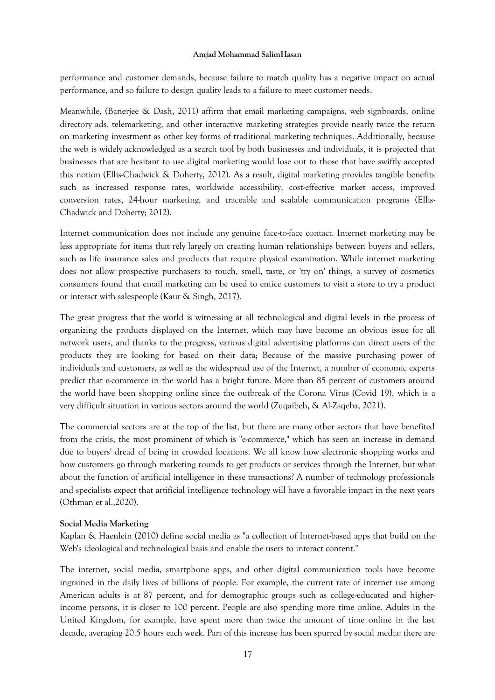performance and customer demands, because failure to match quality has a negative impact on actual performance, and so failure to design quality leads to a failure to meet customer needs.

Meanwhile, (Banerjee & Dash, 2011) affirm that email marketing campaigns, web signboards, online directory ads, telemarketing, and other interactive marketing strategies provide nearly twice the return on marketing investment as other key forms of traditional marketing techniques. Additionally, because the web is widely acknowledged as a search tool by both businesses and individuals, it is projected that businesses that are hesitant to use digital marketing would lose out to those that have swiftly accepted this notion (Ellis-Chadwick & Doherty, 2012). As a result, digital marketing provides tangible benefits such as increased response rates, worldwide accessibility, cost-effective market access, improved conversion rates, 24-hour marketing, and traceable and scalable communication programs (Ellis-Chadwick and Doherty; 2012).

Internet communication does not include any genuine face-to-face contact. Internet marketing may be less appropriate for items that rely largely on creating human relationships between buyers and sellers, such as life insurance sales and products that require physical examination. While internet marketing does not allow prospective purchasers to touch, smell, taste, or 'try on' things, a survey of cosmetics consumers found that email marketing can be used to entice customers to visit a store to try a product or interact with salespeople (Kaur & Singh, 2017).

The great progress that the world is witnessing at all technological and digital levels in the process of organizing the products displayed on the Internet, which may have become an obvious issue for all network users, and thanks to the progress, various digital advertising platforms can direct users of the products they are looking for based on their data; Because of the massive purchasing power of individuals and customers, as well as the widespread use of the Internet, a number of economic experts predict that e-commerce in the world has a bright future. More than 85 percent of customers around the world have been shopping online since the outbreak of the Corona Virus (Covid 19), which is a very difficult situation in various sectors around the world (Zuqaibeh, & Al-Zaqeba, 2021).

The commercial sectors are at the top of the list, but there are many other sectors that have benefited from the crisis, the most prominent of which is "e-commerce," which has seen an increase in demand due to buyers' dread of being in crowded locations. We all know how electronic shopping works and how customers go through marketing rounds to get products or services through the Internet, but what about the function of artificial intelligence in these transactions? A number of technology professionals and specialists expect that artificial intelligence technology will have a favorable impact in the next years (Othman et al.,2020).

#### **Social Media Marketing**

Kaplan & Haenlein (2010) define social media as "a collection of Internet-based apps that build on the Web's ideological and technological basis and enable the users to interact content."

The internet, social media, smartphone apps, and other digital communication tools have become ingrained in the daily lives of billions of people. For example, the current rate of internet use among American adults is at 87 percent, and for demographic groups such as college-educated and higherincome persons, it is closer to 100 percent. People are also spending more time online. Adults in the United Kingdom, for example, have spent more than twice the amount of time online in the last decade, averaging 20.5 hours each week. Part of this increase has been spurred by social media: there are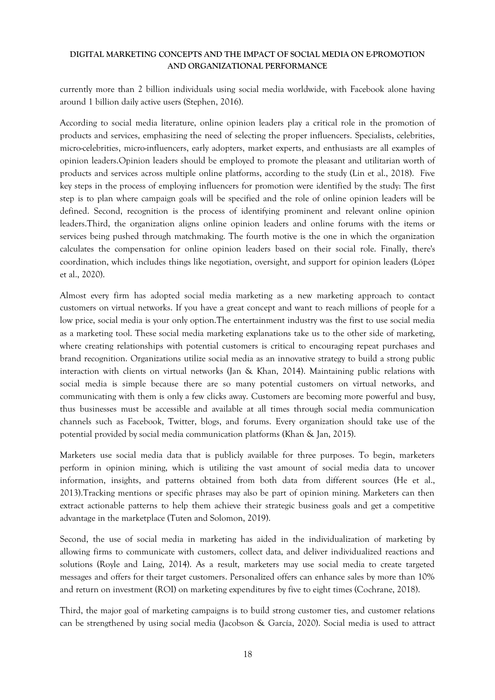currently more than 2 billion individuals using social media worldwide, with Facebook alone having around 1 billion daily active users (Stephen, 2016).

According to social media literature, online opinion leaders play a critical role in the promotion of products and services, emphasizing the need of selecting the proper influencers. Specialists, celebrities, micro-celebrities, micro-influencers, early adopters, market experts, and enthusiasts are all examples of opinion leaders.Opinion leaders should be employed to promote the pleasant and utilitarian worth of products and services across multiple online platforms, according to the study (Lin et al., 2018). Five key steps in the process of employing influencers for promotion were identified by the study: The first step is to plan where campaign goals will be specified and the role of online opinion leaders will be defined. Second, recognition is the process of identifying prominent and relevant online opinion leaders.Third, the organization aligns online opinion leaders and online forums with the items or services being pushed through matchmaking. The fourth motive is the one in which the organization calculates the compensation for online opinion leaders based on their social role. Finally, there's coordination, which includes things like negotiation, oversight, and support for opinion leaders (López et al., 2020).

Almost every firm has adopted social media marketing as a new marketing approach to contact customers on virtual networks. If you have a great concept and want to reach millions of people for a low price, social media is your only option.The entertainment industry was the first to use social media as a marketing tool. These social media marketing explanations take us to the other side of marketing, where creating relationships with potential customers is critical to encouraging repeat purchases and brand recognition. Organizations utilize social media as an innovative strategy to build a strong public interaction with clients on virtual networks (Jan & Khan, 2014). Maintaining public relations with social media is simple because there are so many potential customers on virtual networks, and communicating with them is only a few clicks away. Customers are becoming more powerful and busy, thus businesses must be accessible and available at all times through social media communication channels such as Facebook, Twitter, blogs, and forums. Every organization should take use of the potential provided by social media communication platforms (Khan & Jan, 2015).

Marketers use social media data that is publicly available for three purposes. To begin, marketers perform in opinion mining, which is utilizing the vast amount of social media data to uncover information, insights, and patterns obtained from both data from different sources (He et al., 2013).Tracking mentions or specific phrases may also be part of opinion mining. Marketers can then extract actionable patterns to help them achieve their strategic business goals and get a competitive advantage in the marketplace (Tuten and Solomon, 2019).

Second, the use of social media in marketing has aided in the individualization of marketing by allowing firms to communicate with customers, collect data, and deliver individualized reactions and solutions (Royle and Laing, 2014). As a result, marketers may use social media to create targeted messages and offers for their target customers. Personalized offers can enhance sales by more than 10% and return on investment (ROI) on marketing expenditures by five to eight times (Cochrane, 2018).

Third, the major goal of marketing campaigns is to build strong customer ties, and customer relations can be strengthened by using social media (Jacobson & García, 2020). Social media is used to attract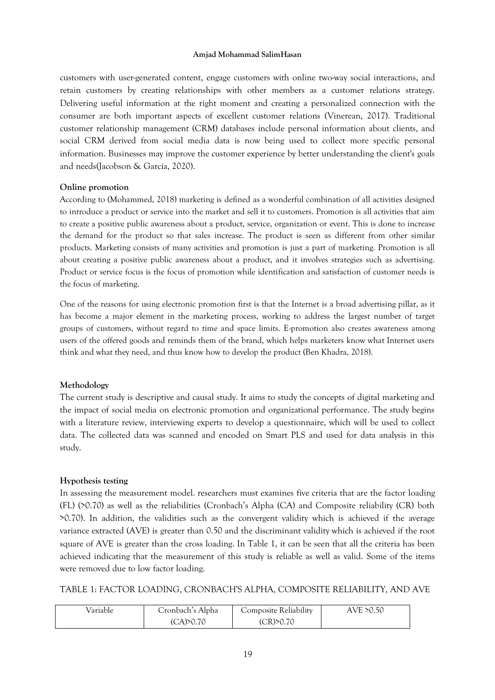customers with user-generated content, engage customers with online two-way social interactions, and retain customers by creating relationships with other members as a customer relations strategy. Delivering useful information at the right moment and creating a personalized connection with the consumer are both important aspects of excellent customer relations (Vinerean, 2017). Traditional customer relationship management (CRM) databases include personal information about clients, and social CRM derived from social media data is now being used to collect more specific personal information. Businesses may improve the customer experience by better understanding the client's goals and needs(Jacobson & García, 2020).

#### **Online promotion**

According to (Mohammed, 2018) marketing is defined as a wonderful combination of all activities designed to introduce a product or service into the market and sell it to customers. Promotion is all activities that aim to create a positive public awareness about a product, service, organization or event. This is done to increase the demand for the product so that sales increase. The product is seen as different from other similar products. Marketing consists of many activities and promotion is just a part of marketing. Promotion is all about creating a positive public awareness about a product, and it involves strategies such as advertising. Product or service focus is the focus of promotion while identification and satisfaction of customer needs is the focus of marketing.

One of the reasons for using electronic promotion first is that the Internet is a broad advertising pillar, as it has become a major element in the marketing process, working to address the largest number of target groups of customers, without regard to time and space limits. E-promotion also creates awareness among users of the offered goods and reminds them of the brand, which helps marketers know what Internet users think and what they need, and thus know how to develop the product (Ben Khadra, 2018).

#### **Methodology**

The current study is descriptive and causal study. It aims to study the concepts of digital marketing and the impact of social media on electronic promotion and organizational performance. The study begins with a literature review, interviewing experts to develop a questionnaire, which will be used to collect data. The collected data was scanned and encoded on Smart PLS and used for data analysis in this study.

#### **Hypothesis testing**

In assessing the measurement model. researchers must examines five criteria that are the factor loading (FL) (>0.70) as well as the reliabilities (Cronbach's Alpha (CA) and Composite reliability (CR) both >0.70). In addition, the validities such as the convergent validity which is achieved if the average variance extracted (AVE) is greater than 0.50 and the discriminant validity which is achieved if the root square of AVE is greater than the cross loading. In Table 1, it can be seen that all the criteria has been achieved indicating that the measurement of this study is reliable as well as valid. Some of the items were removed due to low factor loading.

TABLE 1: FACTOR LOADING, CRONBACH'S ALPHA, COMPOSITE RELIABILITY, AND AVE

| Variable | Cronbach's Alpha | <b>Composite Reliability</b> | AVE >0.50 |
|----------|------------------|------------------------------|-----------|
|          | (CA) > 0.70      | (CR) > 0.70                  |           |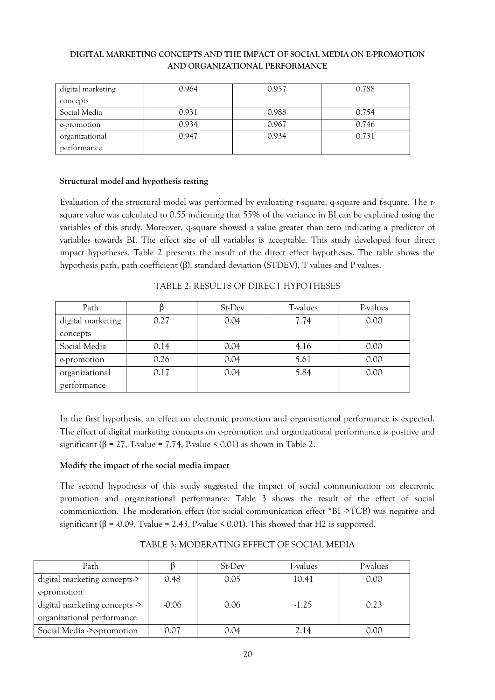| digital marketing | 0.964 | 0.957 | 0.788 |
|-------------------|-------|-------|-------|
| concepts          |       |       |       |
| Social Media      | 0.931 | 0.988 | 0.754 |
| e-promotion       | 0.934 | 0.967 | 0.746 |
| organizational    | 0.947 | 0.934 | 0.731 |
| performance       |       |       |       |

# **Structural model and hypothesis testing**

Evaluation of the structural model was performed by evaluating r-square, q-square and f-square. The rsquare value was calculated to 0.55 indicating that 55% of the variance in BI can be explained using the variables of this study. Moreover, q-square showed a value greater than zero indicating a predictor of variables towards BI. The effect size of all variables is acceptable. This study developed four direct impact hypotheses. Table 2 presents the result of the direct effect hypotheses. The table shows the hypothesis path, path coefficient (β), standard deviation (STDEV), T values and P values.

|  | TABLE 2: RESULTS OF DIRECT HYPOTHESES |
|--|---------------------------------------|
|--|---------------------------------------|

| Path              |      | St-Dev | T-values | P-values |
|-------------------|------|--------|----------|----------|
| digital marketing | 0.27 | 0.04   | 7.74     | 0.00     |
| concepts          |      |        |          |          |
| Social Media      | 0.14 | 0.04   | 4.16     | 0.00     |
| e-promotion       | 0.26 | 0.04   | 5.61     | 0.00     |
| organizational    | 0.17 | 0.04   | 5.84     | 0.00     |
| performance       |      |        |          |          |

In the first hypothesis, an effect on electronic promotion and organizational performance is expected. The effect of digital marketing concepts on e-promotion and organizational performance is positive and significant ( $\beta$  = 27, T-value = 7.74, P-value < 0.01) as shown in Table 2.

# **Modify the impact of the social media impact**

The second hypothesis of this study suggested the impact of social communication on electronic promotion and organizational performance. Table 3 shows the result of the effect of social communication. The moderation effect (for social communication effect \*BI ->TCB) was negative and significant ( $\beta$  = -0.09, Tvalue = 2.43, P-value < 0.01). This showed that H2 is supported.

| Path                                     |         | St-Dev | T-values | P-values |
|------------------------------------------|---------|--------|----------|----------|
| digital marketing concepts->             | 0.48    | 0.05   | 10.41    | 0.00     |
| e-promotion                              |         |        |          |          |
| digital marketing concepts $\rightarrow$ | $-0.06$ | 0.06   | $-1.25$  | 0.23     |
| organizational performance               |         |        |          |          |
| Social Media -> e-promotion              | 0.07    | 0.O4   | 2.14     | 0.00     |

TABLE 3: MODERATING EFFECT OF SOCIAL MEDIA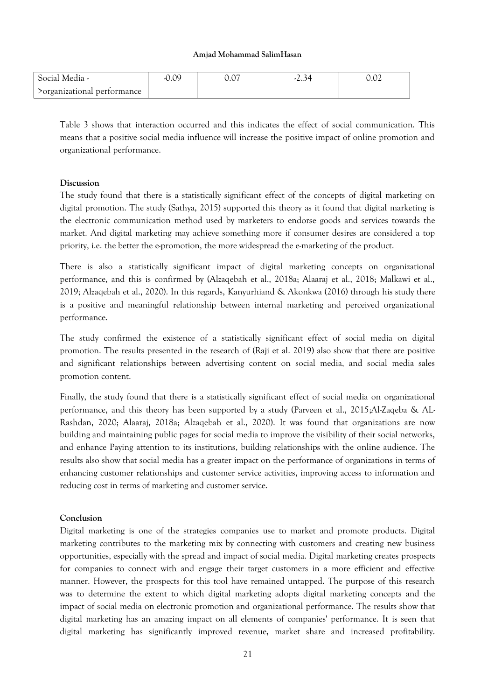| Social Media -              | $-0.09$ | $\sim$<br>v.v | ر د که | $\sim$<br>U.UZ |
|-----------------------------|---------|---------------|--------|----------------|
| >organizational performance |         |               |        |                |

Table 3 shows that interaction occurred and this indicates the effect of social communication. This means that a positive social media influence will increase the positive impact of online promotion and organizational performance.

# **Discussion**

The study found that there is a statistically significant effect of the concepts of digital marketing on digital promotion. The study (Sathya, 2015) supported this theory as it found that digital marketing is the electronic communication method used by marketers to endorse goods and services towards the market. And digital marketing may achieve something more if consumer desires are considered a top priority, i.e. the better the e-promotion, the more widespread the e-marketing of the product.

There is also a statistically significant impact of digital marketing concepts on organizational performance, and this is confirmed by (Alzaqebah et al., 2018a; Alaaraj et al., 2018; Malkawi et al., 2019; Alzaqebah et al., 2020). In this regards, Kanyurhiand & Akonkwa (2016) through his study there is a positive and meaningful relationship between internal marketing and perceived organizational performance.

The study confirmed the existence of a statistically significant effect of social media on digital promotion. The results presented in the research of (Raji et al. 2019) also show that there are positive and significant relationships between advertising content on social media, and social media sales promotion content.

Finally, the study found that there is a statistically significant effect of social media on organizational performance, and this theory has been supported by a study (Parveen et al., 2015;Al-Zaqeba & AL-Rashdan, 2020; Alaaraj, 2018a; Alzaqebah et al., 2020). It was found that organizations are now building and maintaining public pages for social media to improve the visibility of their social networks, and enhance Paying attention to its institutions, building relationships with the online audience. The results also show that social media has a greater impact on the performance of organizations in terms of enhancing customer relationships and customer service activities, improving access to information and reducing cost in terms of marketing and customer service.

# **Conclusion**

Digital marketing is one of the strategies companies use to market and promote products. Digital marketing contributes to the marketing mix by connecting with customers and creating new business opportunities, especially with the spread and impact of social media. Digital marketing creates prospects for companies to connect with and engage their target customers in a more efficient and effective manner. However, the prospects for this tool have remained untapped. The purpose of this research was to determine the extent to which digital marketing adopts digital marketing concepts and the impact of social media on electronic promotion and organizational performance. The results show that digital marketing has an amazing impact on all elements of companies' performance. It is seen that digital marketing has significantly improved revenue, market share and increased profitability.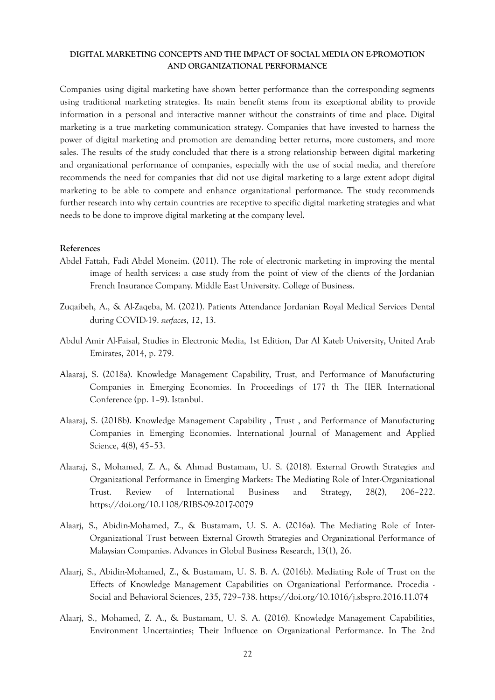Companies using digital marketing have shown better performance than the corresponding segments using traditional marketing strategies. Its main benefit stems from its exceptional ability to provide information in a personal and interactive manner without the constraints of time and place. Digital marketing is a true marketing communication strategy. Companies that have invested to harness the power of digital marketing and promotion are demanding better returns, more customers, and more sales. The results of the study concluded that there is a strong relationship between digital marketing and organizational performance of companies, especially with the use of social media, and therefore recommends the need for companies that did not use digital marketing to a large extent adopt digital marketing to be able to compete and enhance organizational performance. The study recommends further research into why certain countries are receptive to specific digital marketing strategies and what needs to be done to improve digital marketing at the company level.

#### **References**

- Abdel Fattah, Fadi Abdel Moneim. (2011). The role of electronic marketing in improving the mental image of health services: a case study from the point of view of the clients of the Jordanian French Insurance Company. Middle East University. College of Business.
- Zuqaibeh, A., & Al-Zaqeba, M. (2021). Patients Attendance Jordanian Royal Medical Services Dental during COVID-19. *surfaces*, *12*, 13.
- Abdul Amir Al-Faisal, Studies in Electronic Media, 1st Edition, Dar Al Kateb University, United Arab Emirates, 2014, p. 279.
- Alaaraj, S. (2018a). Knowledge Management Capability, Trust, and Performance of Manufacturing Companies in Emerging Economies. In Proceedings of 177 th The IIER International Conference (pp. 1–9). Istanbul.
- Alaaraj, S. (2018b). Knowledge Management Capability , Trust , and Performance of Manufacturing Companies in Emerging Economies. International Journal of Management and Applied Science, 4(8), 45–53.
- Alaaraj, S., Mohamed, Z. A., & Ahmad Bustamam, U. S. (2018). External Growth Strategies and Organizational Performance in Emerging Markets: The Mediating Role of Inter-Organizational Trust. Review of International Business and Strategy, 28(2), 206–222. https://doi.org/10.1108/RIBS-09-2017-0079
- Alaarj, S., Abidin-Mohamed, Z., & Bustamam, U. S. A. (2016a). The Mediating Role of Inter-Organizational Trust between External Growth Strategies and Organizational Performance of Malaysian Companies. Advances in Global Business Research, 13(1), 26.
- Alaarj, S., Abidin-Mohamed, Z., & Bustamam, U. S. B. A. (2016b). Mediating Role of Trust on the Effects of Knowledge Management Capabilities on Organizational Performance. Procedia - Social and Behavioral Sciences, 235, 729–738. https://doi.org/10.1016/j.sbspro.2016.11.074
- Alaarj, S., Mohamed, Z. A., & Bustamam, U. S. A. (2016). Knowledge Management Capabilities, Environment Uncertainties; Their Influence on Organizational Performance. In The 2nd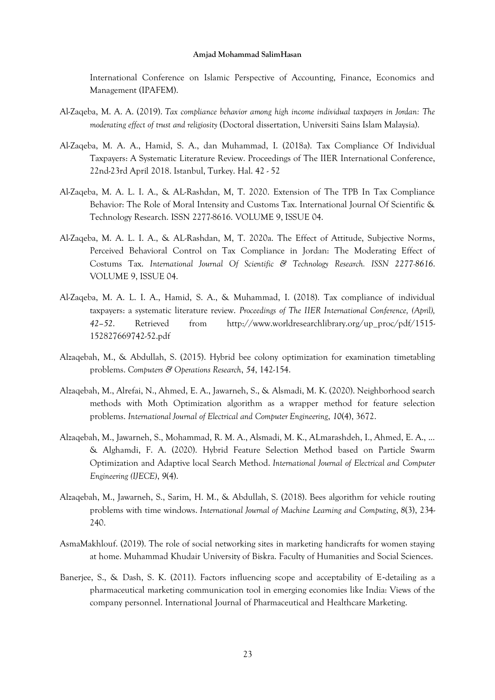International Conference on Islamic Perspective of Accounting, Finance, Economics and Management (IPAFEM).

- Al-Zaqeba, M. A. A. (2019). *Tax compliance behavior among high income individual taxpayers in Jordan: The moderating effect of trust and religiosity* (Doctoral dissertation, Universiti Sains Islam Malaysia).
- Al-Zaqeba, M. A. A., Hamid, S. A., dan Muhammad, I. (2018a). Tax Compliance Of Individual Taxpayers: A Systematic Literature Review. Proceedings of The IIER International Conference, 22nd-23rd April 2018. Istanbul, Turkey. Hal. 42 - 52
- Al-Zaqeba, M. A. L. I. A., & AL-Rashdan, M, T. 2020. Extension of The TPB In Tax Compliance Behavior: The Role of Moral Intensity and Customs Tax. International Journal Of Scientific & Technology Research. ISSN 2277-8616. VOLUME 9, ISSUE 04.
- Al-Zaqeba, M. A. L. I. A., & AL-Rashdan, M, T. 2020a. The Effect of Attitude, Subjective Norms, Perceived Behavioral Control on Tax Compliance in Jordan: The Moderating Effect of Costums Tax. *International Journal Of Scientific & Technology Research. ISSN 2277-8616*. VOLUME 9, ISSUE 04.
- Al-Zaqeba, M. A. L. I. A., Hamid, S. A., & Muhammad, I. (2018). Tax compliance of individual taxpayers: a systematic literature review. *Proceedings of The IIER International Conference, (April), 42–52*. Retrieved from [http://www.worldresearchlibrary.org/up\\_proc/pdf/1515-](http://www.worldresearchlibrary.org/up_proc/pdf/1515-152827669742-52.pdf) [152827669742-52.pdf](http://www.worldresearchlibrary.org/up_proc/pdf/1515-152827669742-52.pdf)
- Alzaqebah, M., & Abdullah, S. (2015). Hybrid bee colony optimization for examination timetabling problems. *Computers & Operations Research*, *54*, 142-154.
- Alzaqebah, M., Alrefai, N., Ahmed, E. A., Jawarneh, S., & Alsmadi, M. K. (2020). Neighborhood search methods with Moth Optimization algorithm as a wrapper method for feature selection problems. *International Journal of Electrical and Computer Engineering*, *10*(4), 3672.
- Alzaqebah, M., Jawarneh, S., Mohammad, R. M. A., Alsmadi, M. K., ALmarashdeh, I., Ahmed, E. A., ... & Alghamdi, F. A. (2020). Hybrid Feature Selection Method based on Particle Swarm Optimization and Adaptive local Search Method. *International Journal of Electrical and Computer Engineering (IJECE)*, *9*(4).
- Alzaqebah, M., Jawarneh, S., Sarim, H. M., & Abdullah, S. (2018). Bees algorithm for vehicle routing problems with time windows. *International Journal of Machine Learning and Computing*, *8*(3), 234- 240.
- AsmaMakhlouf. (2019). The role of social networking sites in marketing handicrafts for women staying at home. Muhammad Khudair University of Biskra. Faculty of Humanities and Social Sciences.
- Banerjee, S., & Dash, S. K. (2011). Factors influencing scope and acceptability of E-detailing as a pharmaceutical marketing communication tool in emerging economies like India: Views of the company personnel. International Journal of Pharmaceutical and Healthcare Marketing.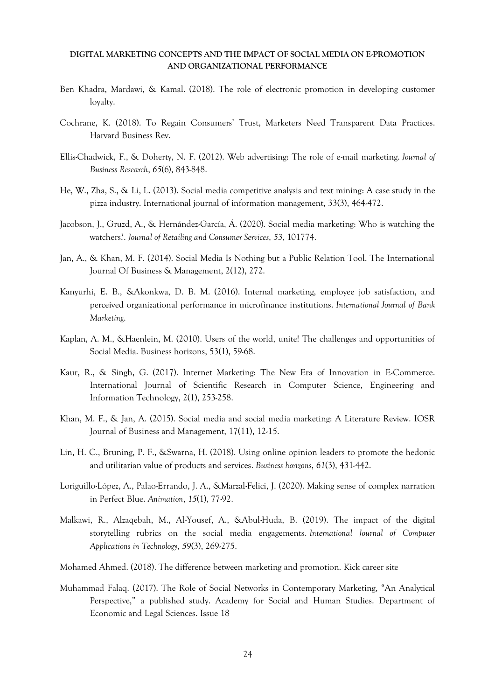- Ben Khadra, Mardawi, & Kamal. (2018). The role of electronic promotion in developing customer loyalty.
- Cochrane, K. (2018). To Regain Consumers' Trust, Marketers Need Transparent Data Practices. Harvard Business Rev.
- Ellis-Chadwick, F., & Doherty, N. F. (2012). Web advertising: The role of e-mail marketing. *Journal of Business Research*, *65*(6), 843-848.
- He, W., Zha, S., & Li, L. (2013). Social media competitive analysis and text mining: A case study in the pizza industry. International journal of information management, 33(3), 464-472.
- Jacobson, J., Gruzd, A., & Hernández-García, Á. (2020). Social media marketing: Who is watching the watchers?. *Journal of Retailing and Consumer Services*, *53*, 101774.
- Jan, A., & Khan, M. F. (2014). Social Media Is Nothing but a Public Relation Tool. The International Journal Of Business & Management, 2(12), 272.
- Kanyurhi, E. B., &Akonkwa, D. B. M. (2016). Internal marketing, employee job satisfaction, and perceived organizational performance in microfinance institutions. *International Journal of Bank Marketing*.
- Kaplan, A. M., &Haenlein, M. (2010). Users of the world, unite! The challenges and opportunities of Social Media. Business horizons, 53(1), 59-68.
- Kaur, R., & Singh, G. (2017). Internet Marketing: The New Era of Innovation in E-Commerce. International Journal of Scientific Research in Computer Science, Engineering and Information Technology, 2(1), 253-258.
- Khan, M. F., & Jan, A. (2015). Social media and social media marketing: A Literature Review. IOSR Journal of Business and Management, 17(11), 12-15.
- Lin, H. C., Bruning, P. F., &Swarna, H. (2018). Using online opinion leaders to promote the hedonic and utilitarian value of products and services. *Business horizons*, *61*(3), 431-442.
- Loriguillo-López, A., Palao-Errando, J. A., &Marzal-Felici, J. (2020). Making sense of complex narration in Perfect Blue. *Animation*, *15*(1), 77-92.
- Malkawi, R., Alzaqebah, M., Al-Yousef, A., &Abul-Huda, B. (2019). The impact of the digital storytelling rubrics on the social media engagements. *International Journal of Computer Applications in Technology*, *59*(3), 269-275.
- Mohamed Ahmed. (2018). The difference between marketing and promotion. Kick career site
- Muhammad Falaq. (2017). The Role of Social Networks in Contemporary Marketing, "An Analytical Perspective," a published study. Academy for Social and Human Studies. Department of Economic and Legal Sciences. Issue 18